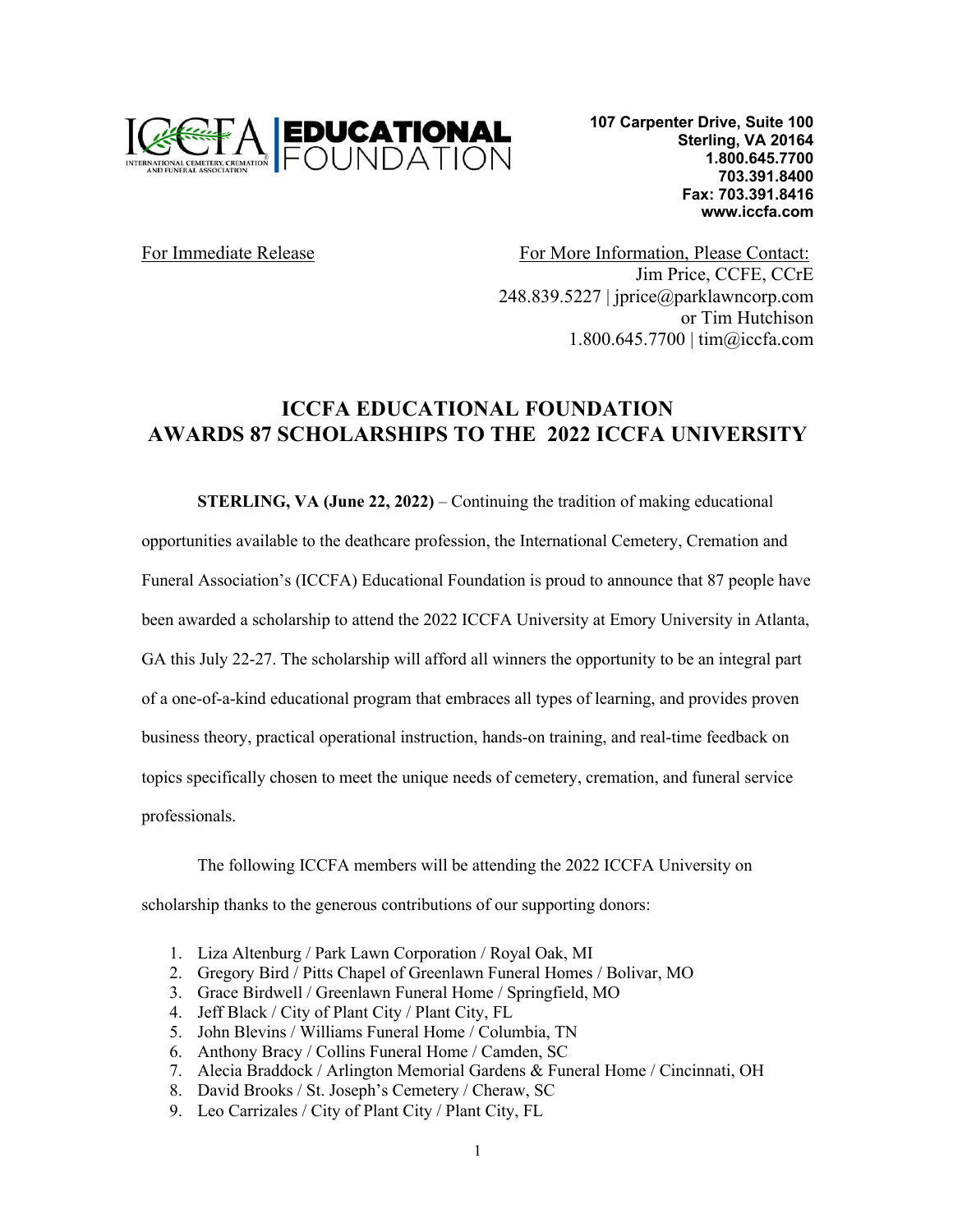

**107 Carpenter Drive, Suite 100 Sterling, VA 20164 1.800.645.7700 703.391.8400 Fax: 703.391.8416 www.iccfa.com**

For Immediate Release For More Information, Please Contact: Jim Price, CCFE, CCrE 248.839.5227 | jprice@parklawncorp.com or Tim Hutchison 1.800.645.7700 | tim@iccfa.com

## **ICCFA EDUCATIONAL FOUNDATION AWARDS 87 SCHOLARSHIPS TO THE 2022 ICCFA UNIVERSITY**

**STERLING, VA (June 22, 2022)** – Continuing the tradition of making educational

opportunities available to the deathcare profession, the International Cemetery, Cremation and

Funeral Association's (ICCFA) Educational Foundation is proud to announce that 87 people have

been awarded a scholarship to attend the 2022 ICCFA University at Emory University in Atlanta,

GA this July 22-27. The scholarship will afford all winners the opportunity to be an integral part

of a one-of-a-kind educational program that embraces all types of learning, and provides proven

business theory, practical operational instruction, hands-on training, and real-time feedback on

topics specifically chosen to meet the unique needs of cemetery, cremation, and funeral service

professionals.

The following ICCFA members will be attending the 2022 ICCFA University on scholarship thanks to the generous contributions of our supporting donors:

- 1. Liza Altenburg / Park Lawn Corporation / Royal Oak, MI
- 2. Gregory Bird / Pitts Chapel of Greenlawn Funeral Homes / Bolivar, MO
- 3. Grace Birdwell / Greenlawn Funeral Home / Springfield, MO
- 4. Jeff Black / City of Plant City / Plant City, FL
- 5. John Blevins / Williams Funeral Home / Columbia, TN
- 6. Anthony Bracy / Collins Funeral Home / Camden, SC
- 7. Alecia Braddock / Arlington Memorial Gardens & Funeral Home / Cincinnati, OH
- 8. David Brooks / St. Joseph's Cemetery / Cheraw, SC
- 9. Leo Carrizales / City of Plant City / Plant City, FL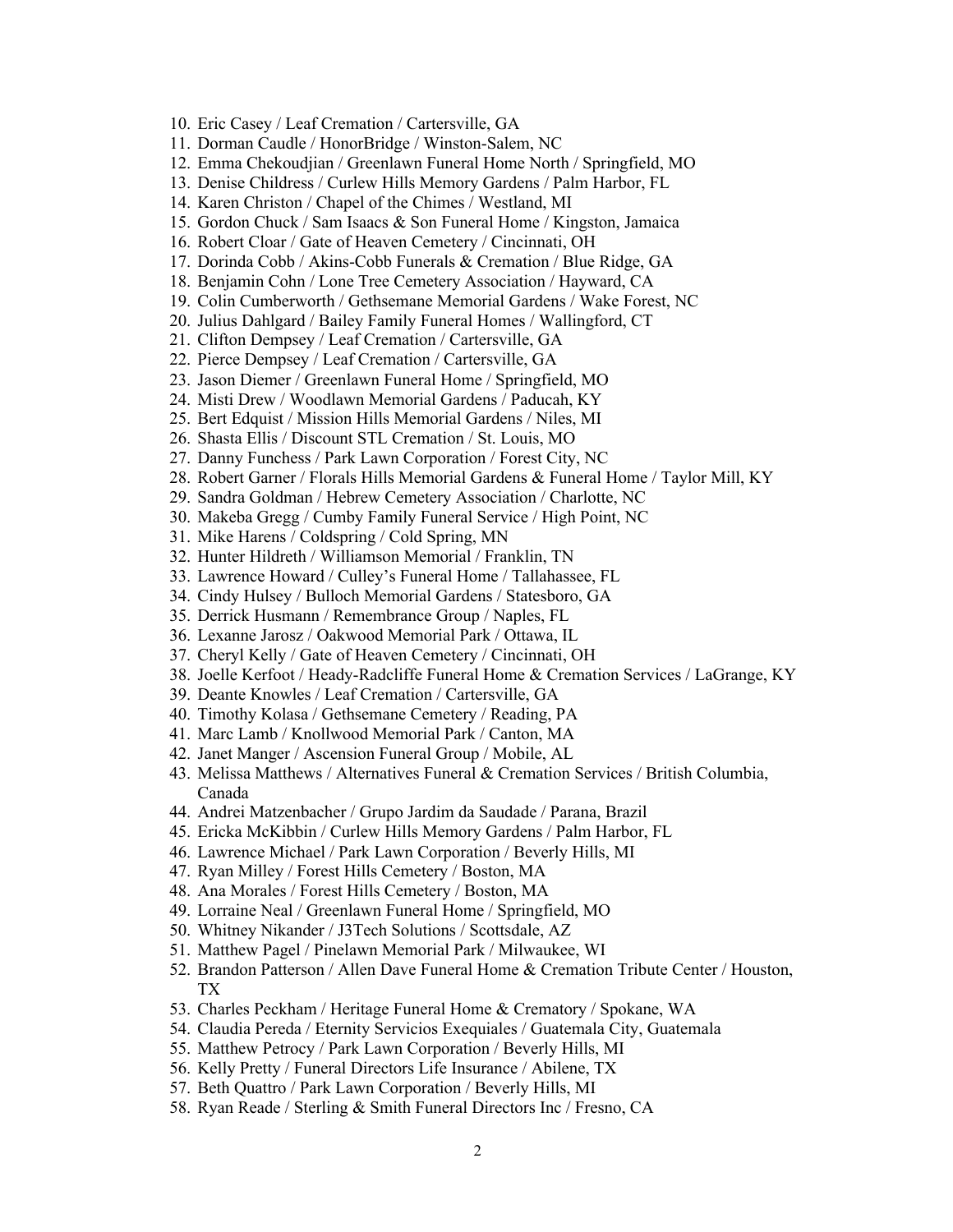- 10. Eric Casey / Leaf Cremation / Cartersville, GA
- 11. Dorman Caudle / HonorBridge / Winston-Salem, NC
- 12. Emma Chekoudjian / Greenlawn Funeral Home North / Springfield, MO
- 13. Denise Childress / Curlew Hills Memory Gardens / Palm Harbor, FL
- 14. Karen Christon / Chapel of the Chimes / Westland, MI
- 15. Gordon Chuck / Sam Isaacs & Son Funeral Home / Kingston, Jamaica
- 16. Robert Cloar / Gate of Heaven Cemetery / Cincinnati, OH
- 17. Dorinda Cobb / Akins-Cobb Funerals & Cremation / Blue Ridge, GA
- 18. Benjamin Cohn / Lone Tree Cemetery Association / Hayward, CA
- 19. Colin Cumberworth / Gethsemane Memorial Gardens / Wake Forest, NC
- 20. Julius Dahlgard / Bailey Family Funeral Homes / Wallingford, CT
- 21. Clifton Dempsey / Leaf Cremation / Cartersville, GA
- 22. Pierce Dempsey / Leaf Cremation / Cartersville, GA
- 23. Jason Diemer / Greenlawn Funeral Home / Springfield, MO
- 24. Misti Drew / Woodlawn Memorial Gardens / Paducah, KY
- 25. Bert Edquist / Mission Hills Memorial Gardens / Niles, MI
- 26. Shasta Ellis / Discount STL Cremation / St. Louis, MO
- 27. Danny Funchess / Park Lawn Corporation / Forest City, NC
- 28. Robert Garner / Florals Hills Memorial Gardens & Funeral Home / Taylor Mill, KY
- 29. Sandra Goldman / Hebrew Cemetery Association / Charlotte, NC
- 30. Makeba Gregg / Cumby Family Funeral Service / High Point, NC
- 31. Mike Harens / Coldspring / Cold Spring, MN
- 32. Hunter Hildreth / Williamson Memorial / Franklin, TN
- 33. Lawrence Howard / Culley's Funeral Home / Tallahassee, FL
- 34. Cindy Hulsey / Bulloch Memorial Gardens / Statesboro, GA
- 35. Derrick Husmann / Remembrance Group / Naples, FL
- 36. Lexanne Jarosz / Oakwood Memorial Park / Ottawa, IL
- 37. Cheryl Kelly / Gate of Heaven Cemetery / Cincinnati, OH
- 38. Joelle Kerfoot / Heady-Radcliffe Funeral Home & Cremation Services / LaGrange, KY
- 39. Deante Knowles / Leaf Cremation / Cartersville, GA
- 40. Timothy Kolasa / Gethsemane Cemetery / Reading, PA
- 41. Marc Lamb / Knollwood Memorial Park / Canton, MA
- 42. Janet Manger / Ascension Funeral Group / Mobile, AL
- 43. Melissa Matthews / Alternatives Funeral & Cremation Services / British Columbia, Canada
- 44. Andrei Matzenbacher / Grupo Jardim da Saudade / Parana, Brazil
- 45. Ericka McKibbin / Curlew Hills Memory Gardens / Palm Harbor, FL
- 46. Lawrence Michael / Park Lawn Corporation / Beverly Hills, MI
- 47. Ryan Milley / Forest Hills Cemetery / Boston, MA
- 48. Ana Morales / Forest Hills Cemetery / Boston, MA
- 49. Lorraine Neal / Greenlawn Funeral Home / Springfield, MO
- 50. Whitney Nikander / J3Tech Solutions / Scottsdale, AZ
- 51. Matthew Pagel / Pinelawn Memorial Park / Milwaukee, WI
- 52. Brandon Patterson / Allen Dave Funeral Home & Cremation Tribute Center / Houston, TX
- 53. Charles Peckham / Heritage Funeral Home & Crematory / Spokane, WA
- 54. Claudia Pereda / Eternity Servicios Exequiales / Guatemala City, Guatemala
- 55. Matthew Petrocy / Park Lawn Corporation / Beverly Hills, MI
- 56. Kelly Pretty / Funeral Directors Life Insurance / Abilene, TX
- 57. Beth Quattro / Park Lawn Corporation / Beverly Hills, MI
- 58. Ryan Reade / Sterling & Smith Funeral Directors Inc / Fresno, CA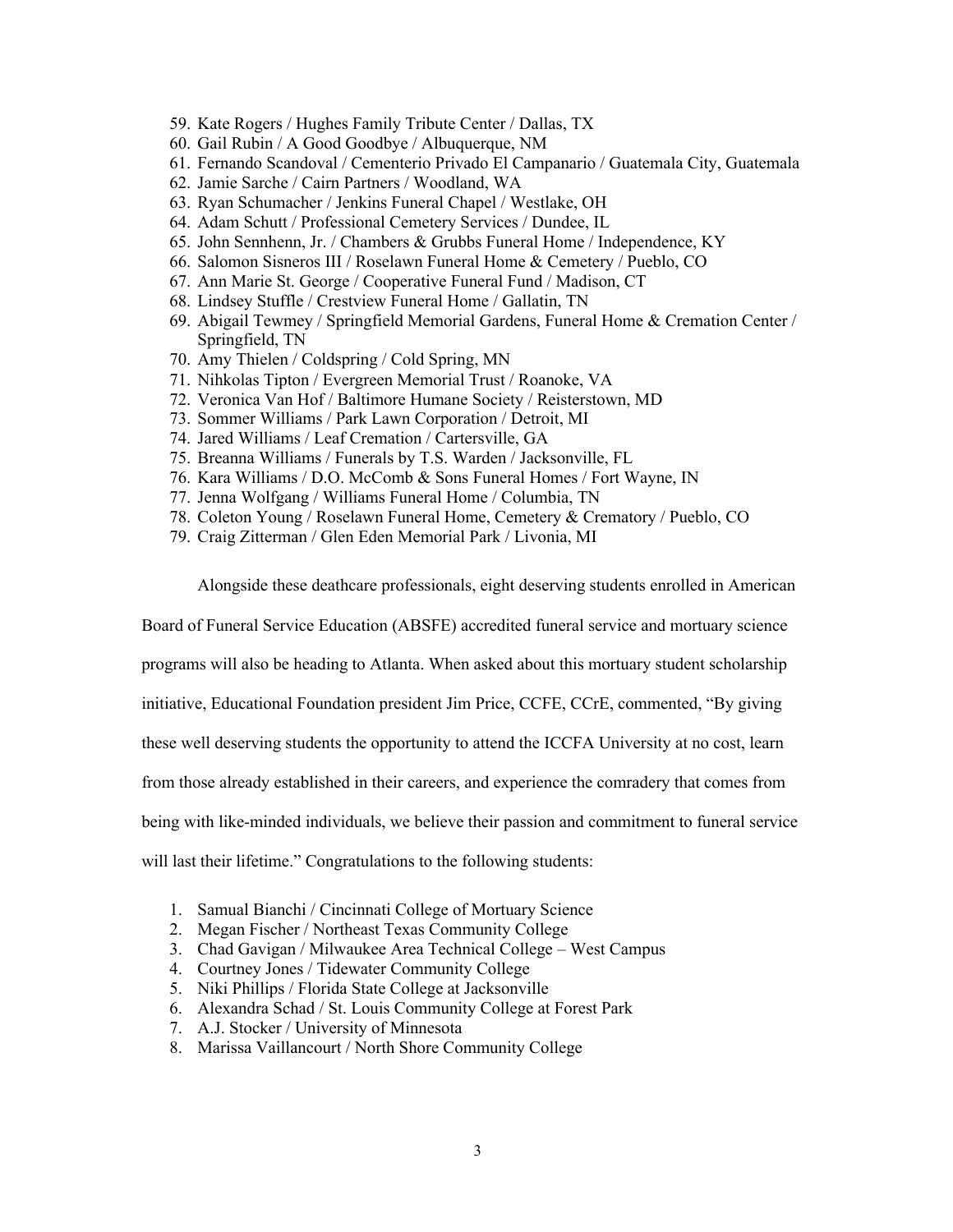- 59. Kate Rogers / Hughes Family Tribute Center / Dallas, TX
- 60. Gail Rubin / A Good Goodbye / Albuquerque, NM
- 61. Fernando Scandoval / Cementerio Privado El Campanario / Guatemala City, Guatemala
- 62. Jamie Sarche / Cairn Partners / Woodland, WA
- 63. Ryan Schumacher / Jenkins Funeral Chapel / Westlake, OH
- 64. Adam Schutt / Professional Cemetery Services / Dundee, IL
- 65. John Sennhenn, Jr. / Chambers & Grubbs Funeral Home / Independence, KY
- 66. Salomon Sisneros III / Roselawn Funeral Home & Cemetery / Pueblo, CO
- 67. Ann Marie St. George / Cooperative Funeral Fund / Madison, CT
- 68. Lindsey Stuffle / Crestview Funeral Home / Gallatin, TN
- 69. Abigail Tewmey / Springfield Memorial Gardens, Funeral Home & Cremation Center / Springfield, TN
- 70. Amy Thielen / Coldspring / Cold Spring, MN
- 71. Nihkolas Tipton / Evergreen Memorial Trust / Roanoke, VA
- 72. Veronica Van Hof / Baltimore Humane Society / Reisterstown, MD
- 73. Sommer Williams / Park Lawn Corporation / Detroit, MI
- 74. Jared Williams / Leaf Cremation / Cartersville, GA
- 75. Breanna Williams / Funerals by T.S. Warden / Jacksonville, FL
- 76. Kara Williams / D.O. McComb & Sons Funeral Homes / Fort Wayne, IN
- 77. Jenna Wolfgang / Williams Funeral Home / Columbia, TN
- 78. Coleton Young / Roselawn Funeral Home, Cemetery & Crematory / Pueblo, CO
- 79. Craig Zitterman / Glen Eden Memorial Park / Livonia, MI

Alongside these deathcare professionals, eight deserving students enrolled in American

Board of Funeral Service Education (ABSFE) accredited funeral service and mortuary science

programs will also be heading to Atlanta. When asked about this mortuary student scholarship

initiative, Educational Foundation president Jim Price, CCFE, CCrE, commented, "By giving

these well deserving students the opportunity to attend the ICCFA University at no cost, learn

from those already established in their careers, and experience the comradery that comes from

being with like-minded individuals, we believe their passion and commitment to funeral service

will last their lifetime." Congratulations to the following students:

- 1. Samual Bianchi / Cincinnati College of Mortuary Science
- 2. Megan Fischer / Northeast Texas Community College
- 3. Chad Gavigan / Milwaukee Area Technical College West Campus
- 4. Courtney Jones / Tidewater Community College
- 5. Niki Phillips / Florida State College at Jacksonville
- 6. Alexandra Schad / St. Louis Community College at Forest Park
- 7. A.J. Stocker / University of Minnesota
- 8. Marissa Vaillancourt / North Shore Community College